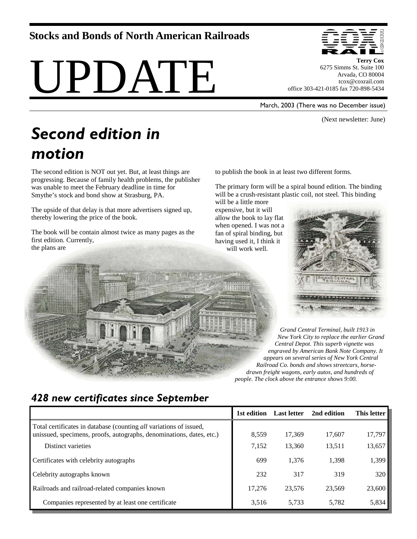## **Stocks and Bonds of North American Railroads**

# UPDATE



**Terry Cox**  6275 Simms St. Suite 100 Arvada, CO 80004 tcox@coxrail.com office 303-421-0185 fax 720-898-5434

March, 2003 (There was no December issue)

(Next newsletter: June)

## *Second edition in motion*

The second edition is NOT out yet. But, at least things are progressing. Because of family health problems, the publisher was unable to meet the February deadline in time for Smythe's stock and bond show at Strasburg, PA.

The upside of that delay is that more advertisers signed up, thereby lowering the price of the book.

The book will be contain almost twice as many pages as the first edition. Currently, the plans are

to publish the book in at least two different forms.

The primary form will be a spiral bound edition. The binding will be a crush-resistant plastic coil, not steel. This binding

will be a little more expensive, but it will allow the book to lay flat when opened. I was not a fan of spiral binding, but having used it, I think it will work well.



*Grand Central Terminal, built 1913 in New York City to replace the earlier Grand Central Depot. This superb vignette was engraved by American Bank Note Company. It appears on several series of New York Central Railroad Co. bonds and shows streetcars, horsedrawn freight wagons, early autos, and hundreds of people. The clock above the entrance shows 9:00.* 

## *428 new certificates since September*

|                                                                                                                                                   | 1st edition | <b>Last letter</b> | 2nd edition | This letter |
|---------------------------------------------------------------------------------------------------------------------------------------------------|-------------|--------------------|-------------|-------------|
| Total certificates in database (counting <i>all</i> variations of issued,<br>unissued, specimens, proofs, autographs, denominations, dates, etc.) | 8,559       | 17,369             | 17,607      | 17,797      |
| Distinct varieties                                                                                                                                | 7,152       | 13,360             | 13,511      | 13,657      |
| Certificates with celebrity autographs                                                                                                            | 699         | 1,376              | 1,398       | 1,399       |
| Celebrity autographs known                                                                                                                        | 232         | 317                | 319         | 320         |
| Railroads and railroad-related companies known                                                                                                    | 17.276      | 23.576             | 23.569      | 23,600      |
| Companies represented by at least one certificate                                                                                                 | 3,516       | 5.733              | 5.782       | 5,834       |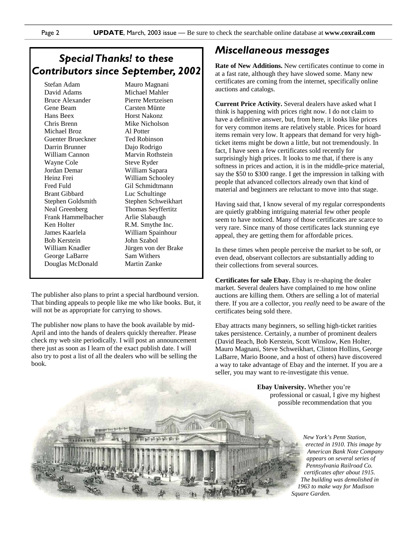## *Special Thanks! to these Contributors since September, 2002*

Stefan Adam David Adams Bruce Alexander Gene Beam Hans Beex Chris Brenn Michael Broz Guenter Brueckner Darrin Brunner William Cannon Wayne Cole Jordan Demar Heinz Frei Fred Fuld Brant Gibbard Stephen Goldsmith Neal Greenberg Frank Hammelbacher Ken Holter James Kaarlela Bob Kerstein William Knadler George LaBarre Douglas McDonald

Mauro Magnani Michael Mahler Pierre Mertzeisen Carsten Münte Horst Nakonz Mike Nicholson Al Potter Ted Robinson Dajo Rodrigo Marvin Rothstein Steve Ryder William Sapara William Schooley Gil Schmidtmann Luc Schultinge Stephen Schweikhart Thomas Seyffertitz Arlie Slabaugh R.M. Smythe Inc. William Spainhour John Szabol Jürgen von der Brake Sam Withers Martin Zanke

The publisher also plans to print a special hardbound version. That binding appeals to people like me who like books. But, it will not be as appropriate for carrying to shows.

The publisher now plans to have the book available by mid-April and into the hands of dealers quickly thereafter. Please check my web site periodically. I will post an announcement there just as soon as I learn of the exact publish date. I will also try to post a list of all the dealers who will be selling the book.

### *Miscellaneous messages*

**Rate of New Additions.** New certificates continue to come in at a fast rate, although they have slowed some. Many new certificates are coming from the internet, specifically online auctions and catalogs.

**Current Price Activity.** Several dealers have asked what I think is happening with prices right now. I do not claim to have a definitive answer, but, from here, it looks like prices for very common items are relatively stable. Prices for hoard items remain very low. It appears that demand for very highticket items might be down a little, but not tremendously. In fact, I have seen a few certificates sold recently for surprisingly high prices. It looks to me that, if there is any softness in prices and action, it is in the middle-price material, say the \$50 to \$300 range. I get the impression in talking with people that advanced collectors already own that kind of material and beginners are reluctant to move into that stage.

Having said that, I know several of my regular correspondents are quietly grabbing intriguing material few other people seem to have noticed. Many of those certificates are scarce to very rare. Since many of those certificates lack stunning eye appeal, they are getting them for affordable prices.

In these times when people perceive the market to be soft, or even dead, observant collectors are substantially adding to their collections from several sources.

**Certificates for sale Ebay.** Ebay is re-shaping the dealer market. Several dealers have complained to me how online auctions are killing them. Others are selling a lot of material there. If you are a collector, you *really* need to be aware of the certificates being sold there.

Ebay attracts many beginners, so selling high-ticket rarities takes persistence. Certainly, a number of prominent dealers (David Beach, Bob Kerstein, Scott Winslow, Ken Holter, Mauro Magnani, Steve Schweikhart, Clinton Hollins, George LaBarre, Mario Boone, and a host of others) have discovered a way to take advantage of Ebay and the internet. If you are a seller, you may want to re-investigate this venue.

> **Ebay University.** Whether you're professional or casual, I give my highest possible recommendation that you

> > *New York's Penn Station, erected in 1910. This image by American Bank Note Company appears on several series of Pennsylvania Railroad Co. certificates after about 1915. The building was demolished in 1963 to make way for Madison Square Garden.*

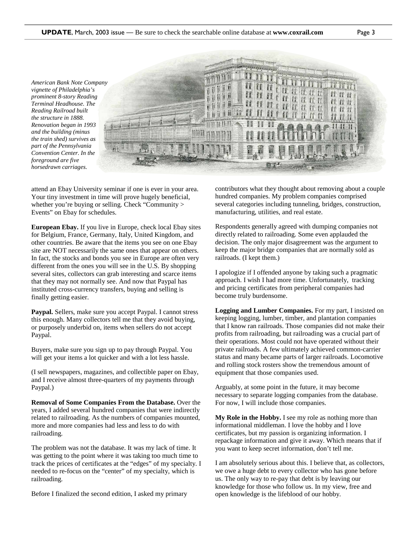*American Bank Note Company vignette of Philadelphia's prominent 8-story Reading Terminal Headhouse. The Reading Railroad built the structure in 1888. Renovation began in 1993 and the building (minus the train shed) survives as part of the Pennsylvania Convention Center. In the foreground are five horsedrawn carriages.* 



attend an Ebay University seminar if one is ever in your area. Your tiny investment in time will prove hugely beneficial, whether you're buying or selling. Check "Community > Events" on Ebay for schedules.

**European Ebay.** If you live in Europe, check local Ebay sites for Belgium, France, Germany, Italy, United Kingdom, and other countries. Be aware that the items you see on one Ebay site are NOT necessarily the same ones that appear on others. In fact, the stocks and bonds you see in Europe are often very different from the ones you will see in the U.S. By shopping several sites, collectors can grab interesting and scarce items that they may not normally see. And now that Paypal has instituted cross-currency transfers, buying and selling is finally getting easier.

**Paypal.** Sellers, make sure you accept Paypal. I cannot stress this enough. Many collectors tell me that they avoid buying, or purposely underbid on, items when sellers do not accept Paypal.

Buyers, make sure you sign up to pay through Paypal. You will get your items a lot quicker and with a lot less hassle.

(I sell newspapers, magazines, and collectible paper on Ebay, and I receive almost three-quarters of my payments through Paypal.)

**Removal of Some Companies From the Database.** Over the years, I added several hundred companies that were indirectly related to railroading. As the numbers of companies mounted, more and more companies had less and less to do with railroading.

The problem was not the database. It was my lack of time. It was getting to the point where it was taking too much time to track the prices of certificates at the "edges" of my specialty. I needed to re-focus on the "center" of my specialty, which is railroading.

Before I finalized the second edition, I asked my primary

contributors what they thought about removing about a couple hundred companies. My problem companies comprised several categories including tunneling, bridges, construction, manufacturing, utilities, and real estate.

Respondents generally agreed with dumping companies not directly related to railroading. Some even applauded the decision. The only major disagreement was the argument to keep the major bridge companies that are normally sold as railroads. (I kept them.)

I apologize if I offended anyone by taking such a pragmatic approach. I wish I had more time. Unfortunately, tracking and pricing certificates from peripheral companies had become truly burdensome.

**Logging and Lumber Companies.** For my part, I insisted on keeping logging, lumber, timber, and plantation companies that I know ran railroads. Those companies did not make their profits from railroading, but railroading was a crucial part of their operations. Most could not have operated without their private railroads. A few ultimately achieved common-carrier status and many became parts of larger railroads. Locomotive and rolling stock rosters show the tremendous amount of equipment that those companies used.

Arguably, at some point in the future, it may become necessary to separate logging companies from the database. For now, I will include those companies.

**My Role in the Hobby.** I see my role as nothing more than informational middleman. I love the hobby and I love certificates, but my passion is organizing information. I repackage information and give it away. Which means that if you want to keep secret information, don't tell me.

I am absolutely serious about this. I believe that, as collectors, we owe a huge debt to every collector who has gone before us. The only way to re-pay that debt is by leaving our knowledge for those who follow us. In my view, free and open knowledge is the lifeblood of our hobby.